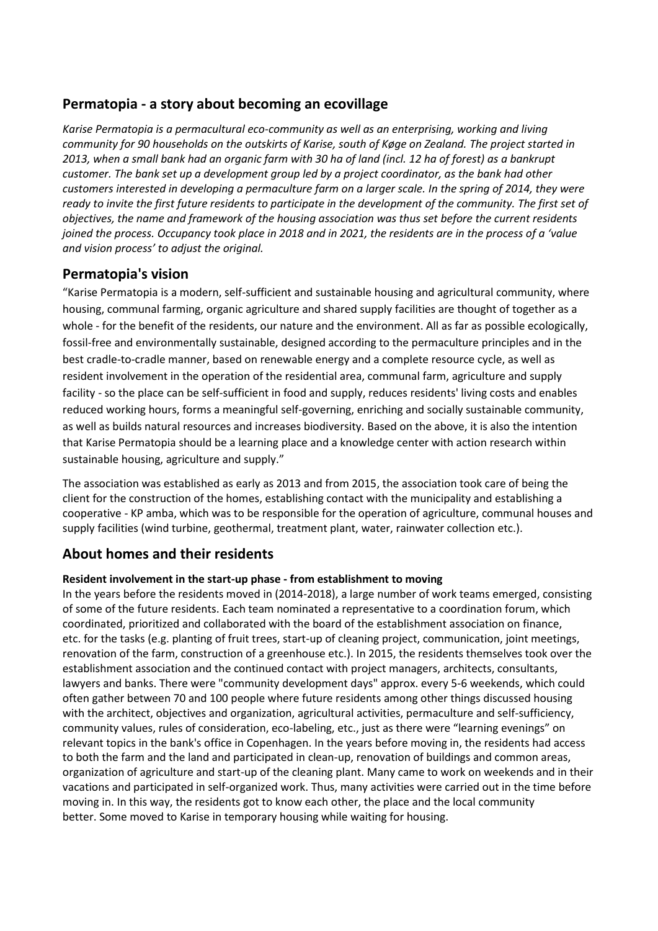# **Permatopia - a story about becoming an ecovillage**

*Karise Permatopia is a permacultural eco-community as well as an enterprising, working and living community for 90 households on the outskirts of Karise, south of Køge on Zealand. The project started in 2013, when a small bank had an organic farm with 30 ha of land (incl. 12 ha of forest) as a bankrupt customer. The bank set up a development group led by a project coordinator, as the bank had other customers interested in developing a permaculture farm on a larger scale. In the spring of 2014, they were ready to invite the first future residents to participate in the development of the community. The first set of objectives, the name and framework of the housing association was thus set before the current residents joined the process. Occupancy took place in 2018 and in 2021, the residents are in the process of a 'value and vision process' to adjust the original.*

# **Permatopia's vision**

"Karise Permatopia is a modern, self-sufficient and sustainable housing and agricultural community, where housing, communal farming, organic agriculture and shared supply facilities are thought of together as a whole - for the benefit of the residents, our nature and the environment. All as far as possible ecologically, fossil-free and environmentally sustainable, designed according to the permaculture principles and in the best cradle-to-cradle manner, based on renewable energy and a complete resource cycle, as well as resident involvement in the operation of the residential area, communal farm, agriculture and supply facility - so the place can be self-sufficient in food and supply, reduces residents' living costs and enables reduced working hours, forms a meaningful self-governing, enriching and socially sustainable community, as well as builds natural resources and increases biodiversity. Based on the above, it is also the intention that Karise Permatopia should be a learning place and a knowledge center with action research within sustainable housing, agriculture and supply."

The association was established as early as 2013 and from 2015, the association took care of being the client for the construction of the homes, establishing contact with the municipality and establishing a cooperative - KP amba, which was to be responsible for the operation of agriculture, communal houses and supply facilities (wind turbine, geothermal, treatment plant, water, rainwater collection etc.).

# **About homes and their residents**

### **Resident involvement in the start-up phase - from establishment to moving**

In the years before the residents moved in (2014-2018), a large number of work teams emerged, consisting of some of the future residents. Each team nominated a representative to a coordination forum, which coordinated, prioritized and collaborated with the board of the establishment association on finance, etc. for the tasks (e.g. planting of fruit trees, start-up of cleaning project, communication, joint meetings, renovation of the farm, construction of a greenhouse etc.). In 2015, the residents themselves took over the establishment association and the continued contact with project managers, architects, consultants, lawyers and banks. There were "community development days" approx. every 5-6 weekends, which could often gather between 70 and 100 people where future residents among other things discussed housing with the architect, objectives and organization, agricultural activities, permaculture and self-sufficiency, community values, rules of consideration, eco-labeling, etc., just as there were "learning evenings" on relevant topics in the bank's office in Copenhagen. In the years before moving in, the residents had access to both the farm and the land and participated in clean-up, renovation of buildings and common areas, organization of agriculture and start-up of the cleaning plant. Many came to work on weekends and in their vacations and participated in self-organized work. Thus, many activities were carried out in the time before moving in. In this way, the residents got to know each other, the place and the local community better. Some moved to Karise in temporary housing while waiting for housing.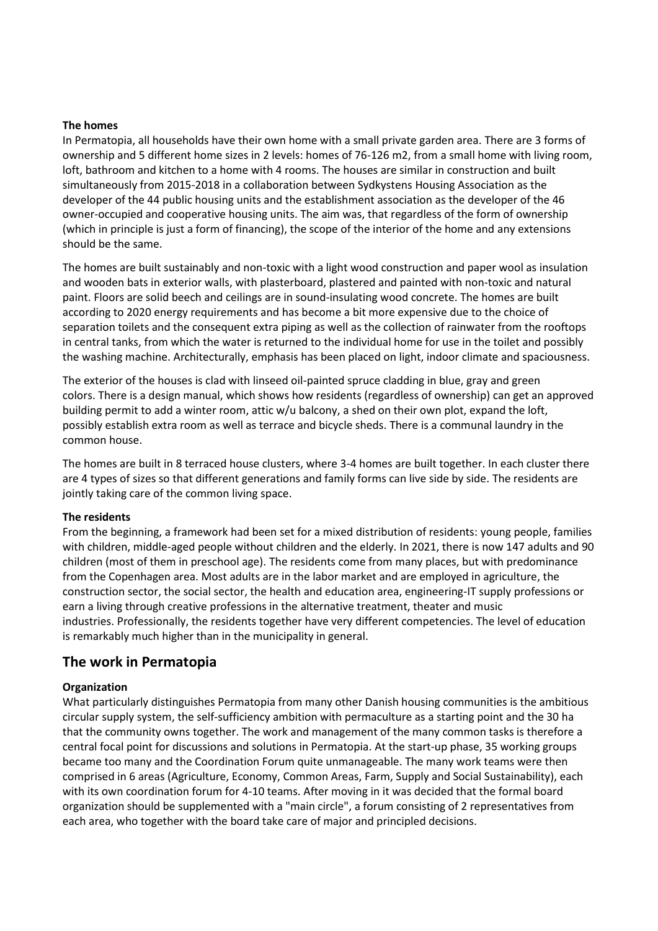#### **The homes**

In Permatopia, all households have their own home with a small private garden area. There are 3 forms of ownership and 5 different home sizes in 2 levels: homes of 76-126 m2, from a small home with living room, loft, bathroom and kitchen to a home with 4 rooms. The houses are similar in construction and built simultaneously from 2015-2018 in a collaboration between Sydkystens Housing Association as the developer of the 44 public housing units and the establishment association as the developer of the 46 owner-occupied and cooperative housing units. The aim was, that regardless of the form of ownership (which in principle is just a form of financing), the scope of the interior of the home and any extensions should be the same.

The homes are built sustainably and non-toxic with a light wood construction and paper wool as insulation and wooden bats in exterior walls, with plasterboard, plastered and painted with non-toxic and natural paint. Floors are solid beech and ceilings are in sound-insulating wood concrete. The homes are built according to 2020 energy requirements and has become a bit more expensive due to the choice of separation toilets and the consequent extra piping as well as the collection of rainwater from the rooftops in central tanks, from which the water is returned to the individual home for use in the toilet and possibly the washing machine. Architecturally, emphasis has been placed on light, indoor climate and spaciousness.

The exterior of the houses is clad with linseed oil-painted spruce cladding in blue, gray and green colors. There is a design manual, which shows how residents (regardless of ownership) can get an approved building permit to add a winter room, attic w/u balcony, a shed on their own plot, expand the loft, possibly establish extra room as well as terrace and bicycle sheds. There is a communal laundry in the common house.

The homes are built in 8 terraced house clusters, where 3-4 homes are built together. In each cluster there are 4 types of sizes so that different generations and family forms can live side by side. The residents are jointly taking care of the common living space.

#### **The residents**

From the beginning, a framework had been set for a mixed distribution of residents: young people, families with children, middle-aged people without children and the elderly. In 2021, there is now 147 adults and 90 children (most of them in preschool age). The residents come from many places, but with predominance from the Copenhagen area. Most adults are in the labor market and are employed in agriculture, the construction sector, the social sector, the health and education area, engineering-IT supply professions or earn a living through creative professions in the alternative treatment, theater and music industries. Professionally, the residents together have very different competencies. The level of education is remarkably much higher than in the municipality in general.

### **The work in Permatopia**

#### **Organization**

What particularly distinguishes Permatopia from many other Danish housing communities is the ambitious circular supply system, the self-sufficiency ambition with permaculture as a starting point and the 30 ha that the community owns together. The work and management of the many common tasks is therefore a central focal point for discussions and solutions in Permatopia. At the start-up phase, 35 working groups became too many and the Coordination Forum quite unmanageable. The many work teams were then comprised in 6 areas (Agriculture, Economy, Common Areas, Farm, Supply and Social Sustainability), each with its own coordination forum for 4-10 teams. After moving in it was decided that the formal board organization should be supplemented with a "main circle", a forum consisting of 2 representatives from each area, who together with the board take care of major and principled decisions.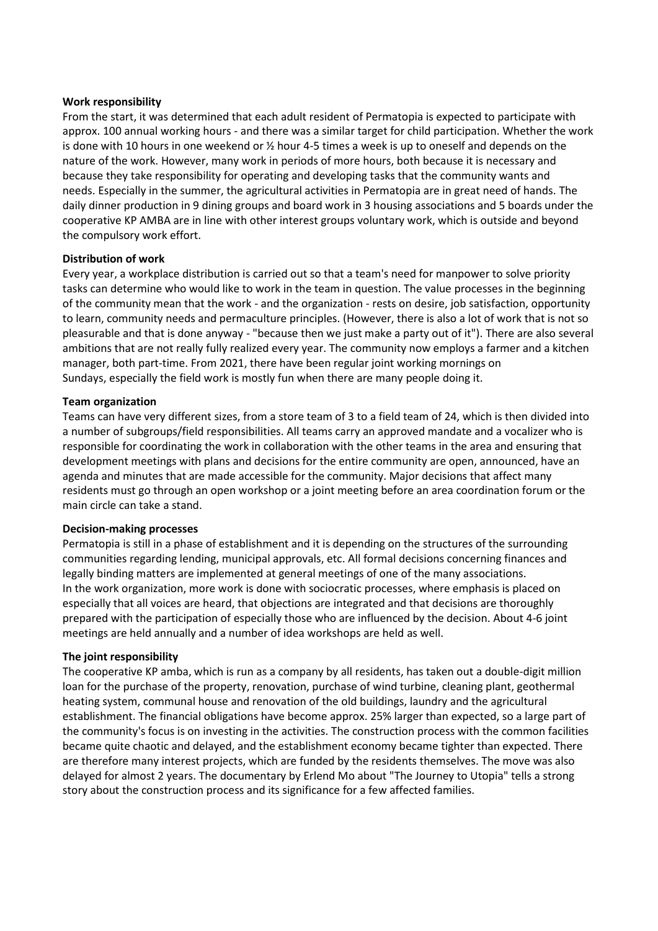#### **Work responsibility**

From the start, it was determined that each adult resident of Permatopia is expected to participate with approx. 100 annual working hours - and there was a similar target for child participation. Whether the work is done with 10 hours in one weekend or  $\frac{1}{2}$  hour 4-5 times a week is up to oneself and depends on the nature of the work. However, many work in periods of more hours, both because it is necessary and because they take responsibility for operating and developing tasks that the community wants and needs. Especially in the summer, the agricultural activities in Permatopia are in great need of hands. The daily dinner production in 9 dining groups and board work in 3 housing associations and 5 boards under the cooperative KP AMBA are in line with other interest groups voluntary work, which is outside and beyond the compulsory work effort.

#### **Distribution of work**

Every year, a workplace distribution is carried out so that a team's need for manpower to solve priority tasks can determine who would like to work in the team in question. The value processes in the beginning of the community mean that the work - and the organization - rests on desire, job satisfaction, opportunity to learn, community needs and permaculture principles. (However, there is also a lot of work that is not so pleasurable and that is done anyway - "because then we just make a party out of it"). There are also several ambitions that are not really fully realized every year. The community now employs a farmer and a kitchen manager, both part-time. From 2021, there have been regular joint working mornings on Sundays, especially the field work is mostly fun when there are many people doing it.

#### **Team organization**

Teams can have very different sizes, from a store team of 3 to a field team of 24, which is then divided into a number of subgroups/field responsibilities. All teams carry an approved mandate and a vocalizer who is responsible for coordinating the work in collaboration with the other teams in the area and ensuring that development meetings with plans and decisions for the entire community are open, announced, have an agenda and minutes that are made accessible for the community. Major decisions that affect many residents must go through an open workshop or a joint meeting before an area coordination forum or the main circle can take a stand.

#### **Decision-making processes**

Permatopia is still in a phase of establishment and it is depending on the structures of the surrounding communities regarding lending, municipal approvals, etc. All formal decisions concerning finances and legally binding matters are implemented at general meetings of one of the many associations. In the work organization, more work is done with sociocratic processes, where emphasis is placed on especially that all voices are heard, that objections are integrated and that decisions are thoroughly prepared with the participation of especially those who are influenced by the decision. About 4-6 joint meetings are held annually and a number of idea workshops are held as well.

#### **The joint responsibility**

The cooperative KP amba, which is run as a company by all residents, has taken out a double-digit million loan for the purchase of the property, renovation, purchase of wind turbine, cleaning plant, geothermal heating system, communal house and renovation of the old buildings, laundry and the agricultural establishment. The financial obligations have become approx. 25% larger than expected, so a large part of the community's focus is on investing in the activities. The construction process with the common facilities became quite chaotic and delayed, and the establishment economy became tighter than expected. There are therefore many interest projects, which are funded by the residents themselves. The move was also delayed for almost 2 years. The documentary by Erlend Mo about "The Journey to Utopia" tells a strong story about the construction process and its significance for a few affected families.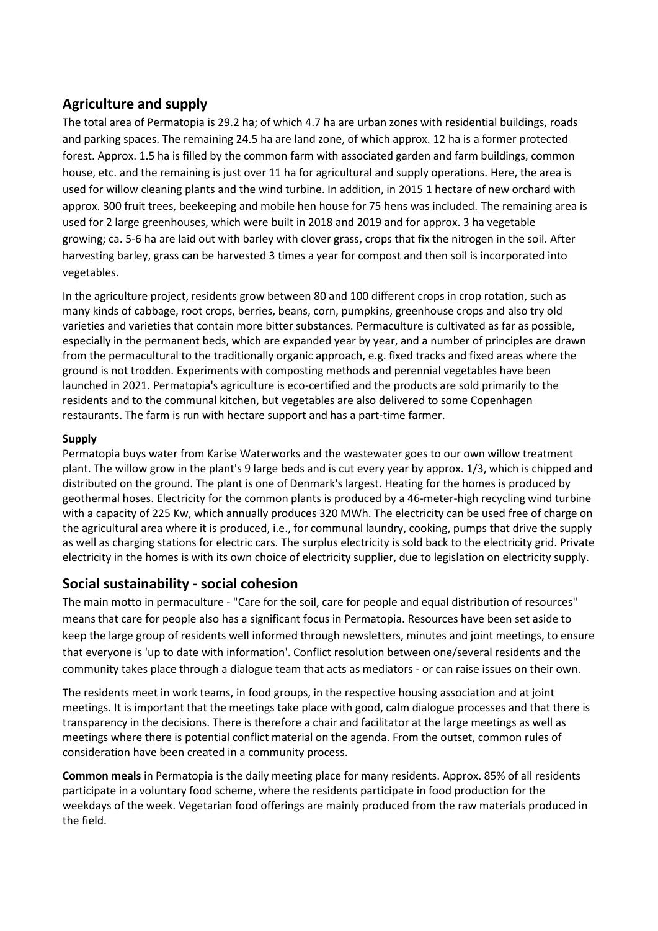# **Agriculture and supply**

The total area of Permatopia is 29.2 ha; of which 4.7 ha are urban zones with residential buildings, roads and parking spaces. The remaining 24.5 ha are land zone, of which approx. 12 ha is a former protected forest. Approx. 1.5 ha is filled by the common farm with associated garden and farm buildings, common house, etc. and the remaining is just over 11 ha for agricultural and supply operations. Here, the area is used for willow cleaning plants and the wind turbine. In addition, in 2015 1 hectare of new orchard with approx. 300 fruit trees, beekeeping and mobile hen house for 75 hens was included. The remaining area is used for 2 large greenhouses, which were built in 2018 and 2019 and for approx. 3 ha vegetable growing; ca. 5-6 ha are laid out with barley with clover grass, crops that fix the nitrogen in the soil. After harvesting barley, grass can be harvested 3 times a year for compost and then soil is incorporated into vegetables.

In the agriculture project, residents grow between 80 and 100 different crops in crop rotation, such as many kinds of cabbage, root crops, berries, beans, corn, pumpkins, greenhouse crops and also try old varieties and varieties that contain more bitter substances. Permaculture is cultivated as far as possible, especially in the permanent beds, which are expanded year by year, and a number of principles are drawn from the permacultural to the traditionally organic approach, e.g. fixed tracks and fixed areas where the ground is not trodden. Experiments with composting methods and perennial vegetables have been launched in 2021. Permatopia's agriculture is eco-certified and the products are sold primarily to the residents and to the communal kitchen, but vegetables are also delivered to some Copenhagen restaurants. The farm is run with hectare support and has a part-time farmer.

## **Supply**

Permatopia buys water from Karise Waterworks and the wastewater goes to our own willow treatment plant. The willow grow in the plant's 9 large beds and is cut every year by approx. 1/3, which is chipped and distributed on the ground. The plant is one of Denmark's largest. Heating for the homes is produced by geothermal hoses. Electricity for the common plants is produced by a 46-meter-high recycling wind turbine with a capacity of 225 Kw, which annually produces 320 MWh. The electricity can be used free of charge on the agricultural area where it is produced, i.e., for communal laundry, cooking, pumps that drive the supply as well as charging stations for electric cars. The surplus electricity is sold back to the electricity grid. Private electricity in the homes is with its own choice of electricity supplier, due to legislation on electricity supply.

# **Social sustainability - social cohesion**

The main motto in permaculture - "Care for the soil, care for people and equal distribution of resources" means that care for people also has a significant focus in Permatopia. Resources have been set aside to keep the large group of residents well informed through newsletters, minutes and joint meetings, to ensure that everyone is 'up to date with information'. Conflict resolution between one/several residents and the community takes place through a dialogue team that acts as mediators - or can raise issues on their own.

The residents meet in work teams, in food groups, in the respective housing association and at joint meetings. It is important that the meetings take place with good, calm dialogue processes and that there is transparency in the decisions. There is therefore a chair and facilitator at the large meetings as well as meetings where there is potential conflict material on the agenda. From the outset, common rules of consideration have been created in a community process.

**Common meals** in Permatopia is the daily meeting place for many residents. Approx. 85% of all residents participate in a voluntary food scheme, where the residents participate in food production for the weekdays of the week. Vegetarian food offerings are mainly produced from the raw materials produced in the field.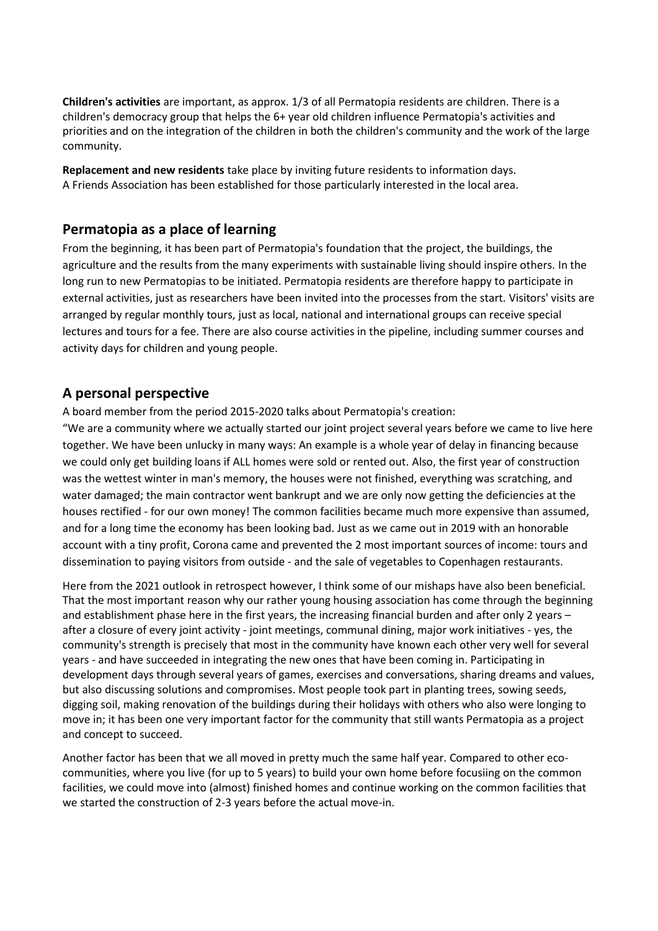**Children's activities** are important, as approx. 1/3 of all Permatopia residents are children. There is a children's democracy group that helps the 6+ year old children influence Permatopia's activities and priorities and on the integration of the children in both the children's community and the work of the large community.

**Replacement and new residents** take place by inviting future residents to information days. A Friends Association has been established for those particularly interested in the local area.

## **Permatopia as a place of learning**

From the beginning, it has been part of Permatopia's foundation that the project, the buildings, the agriculture and the results from the many experiments with sustainable living should inspire others. In the long run to new Permatopias to be initiated. Permatopia residents are therefore happy to participate in external activities, just as researchers have been invited into the processes from the start. Visitors' visits are arranged by regular monthly tours, just as local, national and international groups can receive special lectures and tours for a fee. There are also course activities in the pipeline, including summer courses and activity days for children and young people.

## **A personal perspective**

A board member from the period 2015-2020 talks about Permatopia's creation:

"We are a community where we actually started our joint project several years before we came to live here together. We have been unlucky in many ways: An example is a whole year of delay in financing because we could only get building loans if ALL homes were sold or rented out. Also, the first year of construction was the wettest winter in man's memory, the houses were not finished, everything was scratching, and water damaged; the main contractor went bankrupt and we are only now getting the deficiencies at the houses rectified - for our own money! The common facilities became much more expensive than assumed, and for a long time the economy has been looking bad. Just as we came out in 2019 with an honorable account with a tiny profit, Corona came and prevented the 2 most important sources of income: tours and dissemination to paying visitors from outside - and the sale of vegetables to Copenhagen restaurants.

Here from the 2021 outlook in retrospect however, I think some of our mishaps have also been beneficial. That the most important reason why our rather young housing association has come through the beginning and establishment phase here in the first years, the increasing financial burden and after only 2 years – after a closure of every joint activity - joint meetings, communal dining, major work initiatives - yes, the community's strength is precisely that most in the community have known each other very well for several years - and have succeeded in integrating the new ones that have been coming in. Participating in development days through several years of games, exercises and conversations, sharing dreams and values, but also discussing solutions and compromises. Most people took part in planting trees, sowing seeds, digging soil, making renovation of the buildings during their holidays with others who also were longing to move in; it has been one very important factor for the community that still wants Permatopia as a project and concept to succeed.

Another factor has been that we all moved in pretty much the same half year. Compared to other ecocommunities, where you live (for up to 5 years) to build your own home before focusiing on the common facilities, we could move into (almost) finished homes and continue working on the common facilities that we started the construction of 2-3 years before the actual move-in.